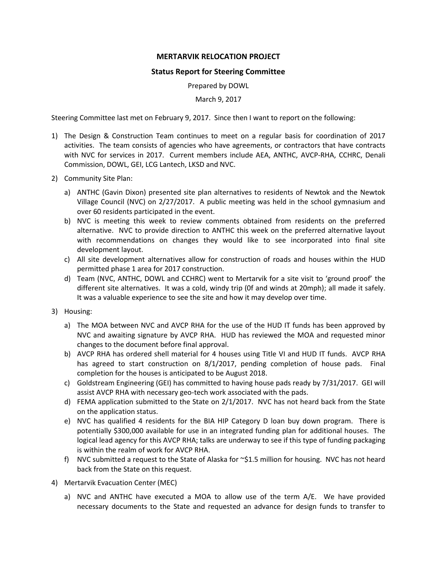## **MERTARVIK RELOCATION PROJECT**

## **Status Report for Steering Committee**

Prepared by DOWL

March 9, 2017

Steering Committee last met on February 9, 2017. Since then I want to report on the following:

- 1) The Design & Construction Team continues to meet on a regular basis for coordination of 2017 activities. The team consists of agencies who have agreements, or contractors that have contracts with NVC for services in 2017. Current members include AEA, ANTHC, AVCP-RHA, CCHRC, Denali Commission, DOWL, GEI, LCG Lantech, LKSD and NVC.
- 2) Community Site Plan:
	- a) ANTHC (Gavin Dixon) presented site plan alternatives to residents of Newtok and the Newtok Village Council (NVC) on 2/27/2017. A public meeting was held in the school gymnasium and over 60 residents participated in the event.
	- b) NVC is meeting this week to review comments obtained from residents on the preferred alternative. NVC to provide direction to ANTHC this week on the preferred alternative layout with recommendations on changes they would like to see incorporated into final site development layout.
	- c) All site development alternatives allow for construction of roads and houses within the HUD permitted phase 1 area for 2017 construction.
	- d) Team (NVC, ANTHC, DOWL and CCHRC) went to Mertarvik for a site visit to 'ground proof' the different site alternatives. It was a cold, windy trip (0f and winds at 20mph); all made it safely. It was a valuable experience to see the site and how it may develop over time.
- 3) Housing:
	- a) The MOA between NVC and AVCP RHA for the use of the HUD IT funds has been approved by NVC and awaiting signature by AVCP RHA. HUD has reviewed the MOA and requested minor changes to the document before final approval.
	- b) AVCP RHA has ordered shell material for 4 houses using Title VI and HUD IT funds. AVCP RHA has agreed to start construction on 8/1/2017, pending completion of house pads. Final completion for the houses is anticipated to be August 2018.
	- c) Goldstream Engineering (GEI) has committed to having house pads ready by 7/31/2017. GEI will assist AVCP RHA with necessary geo-tech work associated with the pads.
	- d) FEMA application submitted to the State on 2/1/2017. NVC has not heard back from the State on the application status.
	- e) NVC has qualified 4 residents for the BIA HIP Category D loan buy down program. There is potentially \$300,000 available for use in an integrated funding plan for additional houses. The logical lead agency for this AVCP RHA; talks are underway to see if this type of funding packaging is within the realm of work for AVCP RHA.
	- f) NVC submitted a request to the State of Alaska for  $\approx$ \$1.5 million for housing. NVC has not heard back from the State on this request.
- 4) Mertarvik Evacuation Center (MEC)
	- a) NVC and ANTHC have executed a MOA to allow use of the term A/E. We have provided necessary documents to the State and requested an advance for design funds to transfer to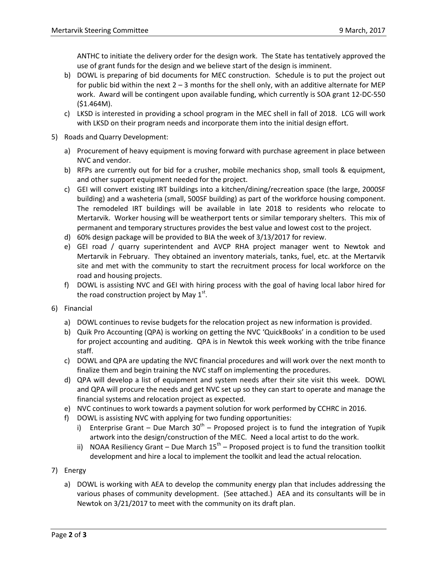ANTHC to initiate the delivery order for the design work. The State has tentatively approved the use of grant funds for the design and we believe start of the design is imminent.

- b) DOWL is preparing of bid documents for MEC construction. Schedule is to put the project out for public bid within the next  $2 - 3$  months for the shell only, with an additive alternate for MEP work. Award will be contingent upon available funding, which currently is SOA grant 12-DC-550 (\$1.464M).
- c) LKSD is interested in providing a school program in the MEC shell in fall of 2018. LCG will work with LKSD on their program needs and incorporate them into the initial design effort.
- 5) Roads and Quarry Development:
	- a) Procurement of heavy equipment is moving forward with purchase agreement in place between NVC and vendor.
	- b) RFPs are currently out for bid for a crusher, mobile mechanics shop, small tools & equipment, and other support equipment needed for the project.
	- c) GEI will convert existing IRT buildings into a kitchen/dining/recreation space (the large, 2000SF building) and a washeteria (small, 500SF building) as part of the workforce housing component. The remodeled IRT buildings will be available in late 2018 to residents who relocate to Mertarvik. Worker housing will be weatherport tents or similar temporary shelters. This mix of permanent and temporary structures provides the best value and lowest cost to the project.
	- d) 60% design package will be provided to BIA the week of 3/13/2017 for review.
	- e) GEI road / quarry superintendent and AVCP RHA project manager went to Newtok and Mertarvik in February. They obtained an inventory materials, tanks, fuel, etc. at the Mertarvik site and met with the community to start the recruitment process for local workforce on the road and housing projects.
	- f) DOWL is assisting NVC and GEI with hiring process with the goal of having local labor hired for the road construction project by May  $1^{\text{st}}$ .
- 6) Financial
	- a) DOWL continues to revise budgets for the relocation project as new information is provided.
	- b) Quik Pro Accounting (QPA) is working on getting the NVC 'QuickBooks' in a condition to be used for project accounting and auditing. QPA is in Newtok this week working with the tribe finance staff.
	- c) DOWL and QPA are updating the NVC financial procedures and will work over the next month to finalize them and begin training the NVC staff on implementing the procedures.
	- d) QPA will develop a list of equipment and system needs after their site visit this week. DOWL and QPA will procure the needs and get NVC set up so they can start to operate and manage the financial systems and relocation project as expected.
	- e) NVC continues to work towards a payment solution for work performed by CCHRC in 2016.
	- f) DOWL is assisting NVC with applying for two funding opportunities:
		- i) Enterprise Grant Due March  $30<sup>th</sup>$  Proposed project is to fund the integration of Yupik artwork into the design/construction of the MEC. Need a local artist to do the work.
		- ii) NOAA Resiliency Grant Due March  $15^{th}$  Proposed project is to fund the transition toolkit development and hire a local to implement the toolkit and lead the actual relocation.
- 7) Energy
	- a) DOWL is working with AEA to develop the community energy plan that includes addressing the various phases of community development. (See attached.) AEA and its consultants will be in Newtok on 3/21/2017 to meet with the community on its draft plan.